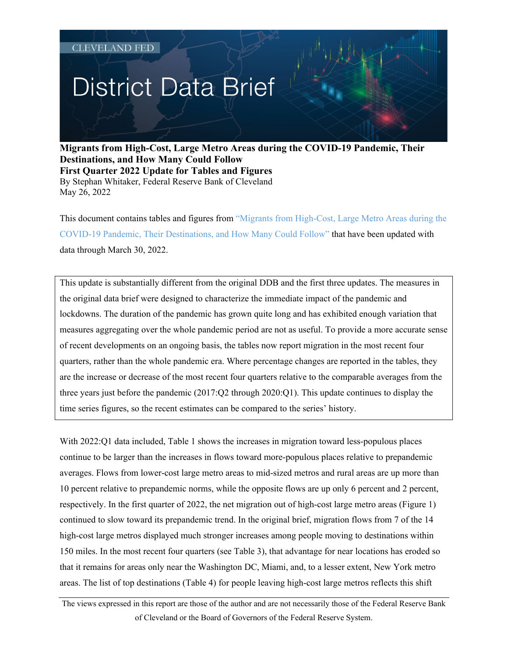## District Data Brief

**Migrants from High-Cost, Large Metro Areas during the COVID-19 Pandemic, Their Destinations, and How Many Could Follow First Quarter 2022 Update for Tables and Figures** By Stephan Whitaker, Federal Reserve Bank of Cleveland May 26, 2022

This document contains tables and figures from "Migrants from [High-Cost, Large Metro Areas during the](https://www.clevelandfed.org/newsroom-and-events/publications/cfed-district-data-briefs/cfddb-20210325-migrants-from-high-cost-large-metro-areas-during-the-covid-19-pandemic.aspx)  [COVID-19 Pandemic, Their Destinations, and How Many Could Follow"](https://www.clevelandfed.org/newsroom-and-events/publications/cfed-district-data-briefs/cfddb-20210325-migrants-from-high-cost-large-metro-areas-during-the-covid-19-pandemic.aspx) that have been updated with data through March 30, 2022.

This update is substantially different from the original DDB and the first three updates. The measures in the original data brief were designed to characterize the immediate impact of the pandemic and lockdowns. The duration of the pandemic has grown quite long and has exhibited enough variation that measures aggregating over the whole pandemic period are not as useful. To provide a more accurate sense of recent developments on an ongoing basis, the tables now report migration in the most recent four quarters, rather than the whole pandemic era. Where percentage changes are reported in the tables, they are the increase or decrease of the most recent four quarters relative to the comparable averages from the three years just before the pandemic (2017:Q2 through 2020:Q1). This update continues to display the time series figures, so the recent estimates can be compared to the series' history.

With 2022:Q1 data included, Table 1 shows the increases in migration toward less-populous places continue to be larger than the increases in flows toward more-populous places relative to prepandemic averages. Flows from lower-cost large metro areas to mid-sized metros and rural areas are up more than 10 percent relative to prepandemic norms, while the opposite flows are up only 6 percent and 2 percent, respectively. In the first quarter of 2022, the net migration out of high-cost large metro areas (Figure 1) continued to slow toward its prepandemic trend. In the original brief, migration flows from 7 of the 14 high-cost large metros displayed much stronger increases among people moving to destinations within 150 miles. In the most recent four quarters (see Table 3), that advantage for near locations has eroded so that it remains for areas only near the Washington DC, Miami, and, to a lesser extent, New York metro areas. The list of top destinations (Table 4) for people leaving high-cost large metros reflects this shift

The views expressed in this report are those of the author and are not necessarily those of the Federal Reserve Bank of Cleveland or the Board of Governors of the Federal Reserve System.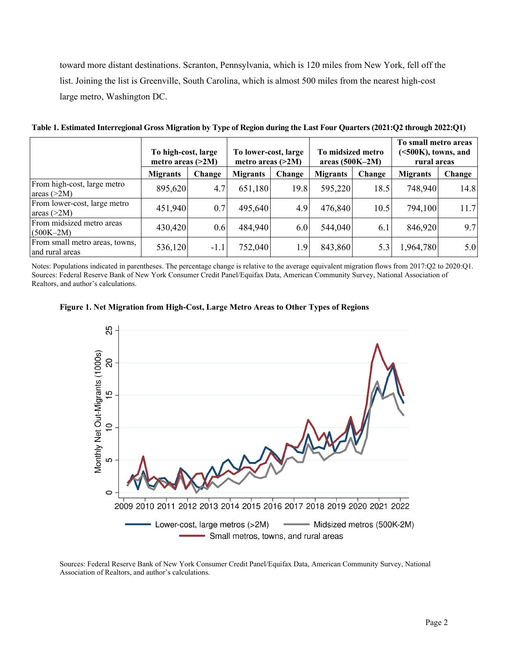toward more distant destinations. Scranton, Pennsylvania, which is 120 miles from New York, fell off the list. Joining the list is Greenville, South Carolina, which is almost 500 miles from the nearest high-cost large metro, Washington DC.

|                                                   | To high-cost, large<br>metro areas $(>2M)$ |        | To lower-cost, large<br>metro areas $(>2M)$ |        | To midsized metro<br>areas $(500K-2M)$ |        | To small metro areas<br>$(500K),$ towns, and<br>rural areas |        |
|---------------------------------------------------|--------------------------------------------|--------|---------------------------------------------|--------|----------------------------------------|--------|-------------------------------------------------------------|--------|
|                                                   | <b>Migrants</b>                            | Change | <b>Migrants</b>                             | Change | <b>Migrants</b>                        | Change | <b>Migrants</b>                                             | Change |
| From high-cost, large metro<br>areas $(>2M)$      | 895,620                                    | 4.7    | 651,180                                     | 19.8   | 595,220                                | 18.5   | 748,940                                                     | 14.8   |
| From lower-cost, large metro<br>areas $(>2M)$     | 451,940                                    | 0.7    | 495,640                                     | 4.9    | 476,840                                | 10.5   | 794,100                                                     | 11.7   |
| From midsized metro areas<br>$(500K-2M)$          | 430,420                                    | 0.6    | 484,940                                     | 6.0    | 544,040                                | 6.1    | 846,920                                                     | 9.7    |
| From small metro areas, towns,<br>and rural areas | 536,120                                    | $-1.1$ | 752,040                                     | 1.9    | 843,860                                | 5.3    | 1,964,780                                                   | 5.0    |

## **Table 1. Estimated Interregional Gross Migration by Type of Region during the Last Four Quarters (2021:Q2 through 2022:Q1)**

Notes: Populations indicated in parentheses. The percentage change is relative to the average equivalent migration flows from 2017:Q2 to 2020:Q1. Sources: Federal Reserve Bank of New York Consumer Credit Panel/Equifax Data, American Community Survey, National Association of Realtors, and author's calculations.





Sources: Federal Reserve Bank of New York Consumer Credit Panel/Equifax Data, American Community Survey, National Association of Realtors, and author's calculations.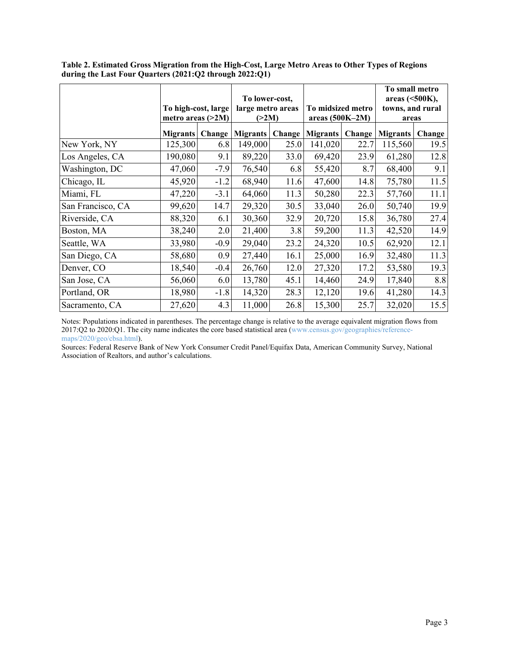|                   | To high-cost, large<br>metro areas $(>2M)$ |        | To lower-cost,<br>large metro areas<br>(>2M) |               |                                      |        | To small metro<br>areas $(<500K)$ , |        |
|-------------------|--------------------------------------------|--------|----------------------------------------------|---------------|--------------------------------------|--------|-------------------------------------|--------|
|                   |                                            |        |                                              |               | To midsized metro<br>areas (500K-2M) |        | towns, and rural<br>areas           |        |
|                   | <b>Migrants</b>                            | Change | <b>Migrants</b>                              | <b>Change</b> | <b>Migrants</b>                      | Change | <b>Migrants</b>                     | Change |
| New York, NY      | 125,300                                    | 6.8    | 149,000                                      | 25.0          | 141,020                              | 22.7   | 115,560                             | 19.5   |
| Los Angeles, CA   | 190,080                                    | 9.1    | 89,220                                       | 33.0          | 69,420                               | 23.9   | 61,280                              | 12.8   |
| Washington, DC    | 47,060                                     | $-7.9$ | 76,540                                       | 6.8           | 55,420                               | 8.7    | 68,400                              | 9.1    |
| Chicago, IL       | 45,920                                     | $-1.2$ | 68,940                                       | 11.6          | 47,600                               | 14.8   | 75,780                              | 11.5   |
| Miami, FL         | 47,220                                     | $-3.1$ | 64,060                                       | 11.3          | 50,280                               | 22.3   | 57,760                              | 11.1   |
| San Francisco, CA | 99,620                                     | 14.7   | 29,320                                       | 30.5          | 33,040                               | 26.0   | 50,740                              | 19.9   |
| Riverside, CA     | 88,320                                     | 6.1    | 30,360                                       | 32.9          | 20,720                               | 15.8   | 36,780                              | 27.4   |
| Boston, MA        | 38,240                                     | 2.0    | 21,400                                       | 3.8           | 59,200                               | 11.3   | 42,520                              | 14.9   |
| Seattle, WA       | 33,980                                     | $-0.9$ | 29,040                                       | 23.2          | 24,320                               | 10.5   | 62,920                              | 12.1   |
| San Diego, CA     | 58,680                                     | 0.9    | 27,440                                       | 16.1          | 25,000                               | 16.9   | 32,480                              | 11.3   |
| Denver, CO        | 18,540                                     | $-0.4$ | 26,760                                       | 12.0          | 27,320                               | 17.2   | 53,580                              | 19.3   |
| San Jose, CA      | 56,060                                     | 6.0    | 13,780                                       | 45.1          | 14,460                               | 24.9   | 17,840                              | 8.8    |
| Portland, OR      | 18,980                                     | $-1.8$ | 14,320                                       | 28.3          | 12,120                               | 19.6   | 41,280                              | 14.3   |
| Sacramento, CA    | 27,620                                     | 4.3    | 11,000                                       | 26.8          | 15,300                               | 25.7   | 32,020                              | 15.5   |

**Table 2. Estimated Gross Migration from the High-Cost, Large Metro Areas to Other Types of Regions during the Last Four Quarters (2021:Q2 through 2022:Q1)** 

Notes: Populations indicated in parentheses. The percentage change is relative to the average equivalent migration flows from 2017:Q2 to 2020:Q1. The city name indicates the core based statistical area [\(www.census.gov/geographies/reference](https://www.census.gov/geographies/reference-maps/2020/geo/cbsa.html)[maps/2020/geo/cbsa.html\)](https://www.census.gov/geographies/reference-maps/2020/geo/cbsa.html).

Sources: Federal Reserve Bank of New York Consumer Credit Panel/Equifax Data, American Community Survey, National Association of Realtors, and author's calculations.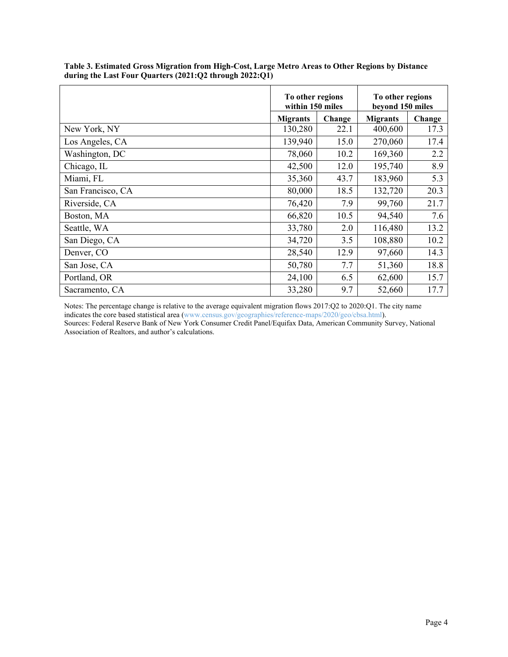|                   | To other regions<br>within 150 miles |        | To other regions<br>beyond 150 miles |        |  |
|-------------------|--------------------------------------|--------|--------------------------------------|--------|--|
|                   | <b>Migrants</b>                      | Change | <b>Migrants</b>                      | Change |  |
| New York, NY      | 130,280                              | 22.1   | 400,600                              | 17.3   |  |
| Los Angeles, CA   | 139,940                              | 15.0   | 270,060                              | 17.4   |  |
| Washington, DC    | 78,060                               | 10.2   | 169,360                              | 2.2    |  |
| Chicago, IL       | 42,500                               | 12.0   | 195,740                              | 8.9    |  |
| Miami, FL         | 35,360                               | 43.7   | 183,960                              | 5.3    |  |
| San Francisco, CA | 80,000                               | 18.5   | 132,720                              | 20.3   |  |
| Riverside, CA     | 76,420                               | 7.9    | 99,760                               | 21.7   |  |
| Boston, MA        | 66,820                               | 10.5   | 94,540                               | 7.6    |  |
| Seattle, WA       | 33,780                               | 2.0    | 116,480                              | 13.2   |  |
| San Diego, CA     | 34,720                               | 3.5    | 108,880                              | 10.2   |  |
| Denver, CO        | 28,540                               | 12.9   | 97,660                               | 14.3   |  |
| San Jose, CA      | 50,780                               | 7.7    | 51,360                               | 18.8   |  |
| Portland, OR      | 24,100                               | 6.5    | 62,600                               | 15.7   |  |
| Sacramento, CA    | 33,280                               | 9.7    | 52,660                               | 17.7   |  |

**Table 3. Estimated Gross Migration from High-Cost, Large Metro Areas to Other Regions by Distance during the Last Four Quarters (2021:Q2 through 2022:Q1)** 

Notes: The percentage change is relative to the average equivalent migration flows 2017:Q2 to 2020:Q1. The city name indicates the core based statistical area [\(www.census.gov/geographies/reference-maps/2020/geo/cbsa.html\)](https://www.census.gov/geographies/reference-maps/2020/geo/cbsa.html). Sources: Federal Reserve Bank of New York Consumer Credit Panel/Equifax Data, American Community Survey, National Association of Realtors, and author's calculations.